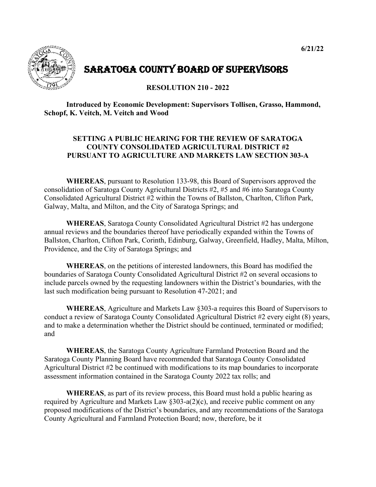

## SARATOGA COUNTY BOARD OF SUPERVISORS

## **RESOLUTION 210 - 2022**

## **Introduced by Economic Development: Supervisors Tollisen, Grasso, Hammond, Schopf, K. Veitch, M. Veitch and Wood**

## **SETTING A PUBLIC HEARING FOR THE REVIEW OF SARATOGA COUNTY CONSOLIDATED AGRICULTURAL DISTRICT #2 PURSUANT TO AGRICULTURE AND MARKETS LAW SECTION 303-A**

**WHEREAS**, pursuant to Resolution 133-98, this Board of Supervisors approved the consolidation of Saratoga County Agricultural Districts #2, #5 and #6 into Saratoga County Consolidated Agricultural District #2 within the Towns of Ballston, Charlton, Clifton Park, Galway, Malta, and Milton, and the City of Saratoga Springs; and

**WHEREAS**, Saratoga County Consolidated Agricultural District #2 has undergone annual reviews and the boundaries thereof have periodically expanded within the Towns of Ballston, Charlton, Clifton Park, Corinth, Edinburg, Galway, Greenfield, Hadley, Malta, Milton, Providence, and the City of Saratoga Springs; and

**WHEREAS**, on the petitions of interested landowners, this Board has modified the boundaries of Saratoga County Consolidated Agricultural District #2 on several occasions to include parcels owned by the requesting landowners within the District's boundaries, with the last such modification being pursuant to Resolution 47-2021; and

**WHEREAS**, Agriculture and Markets Law §303-a requires this Board of Supervisors to conduct a review of Saratoga County Consolidated Agricultural District #2 every eight (8) years, and to make a determination whether the District should be continued, terminated or modified; and

**WHEREAS**, the Saratoga County Agriculture Farmland Protection Board and the Saratoga County Planning Board have recommended that Saratoga County Consolidated Agricultural District #2 be continued with modifications to its map boundaries to incorporate assessment information contained in the Saratoga County 2022 tax rolls; and

**WHEREAS**, as part of its review process, this Board must hold a public hearing as required by Agriculture and Markets Law  $\S 303$ -a(2)(c), and receive public comment on any proposed modifications of the District's boundaries, and any recommendations of the Saratoga County Agricultural and Farmland Protection Board; now, therefore, be it